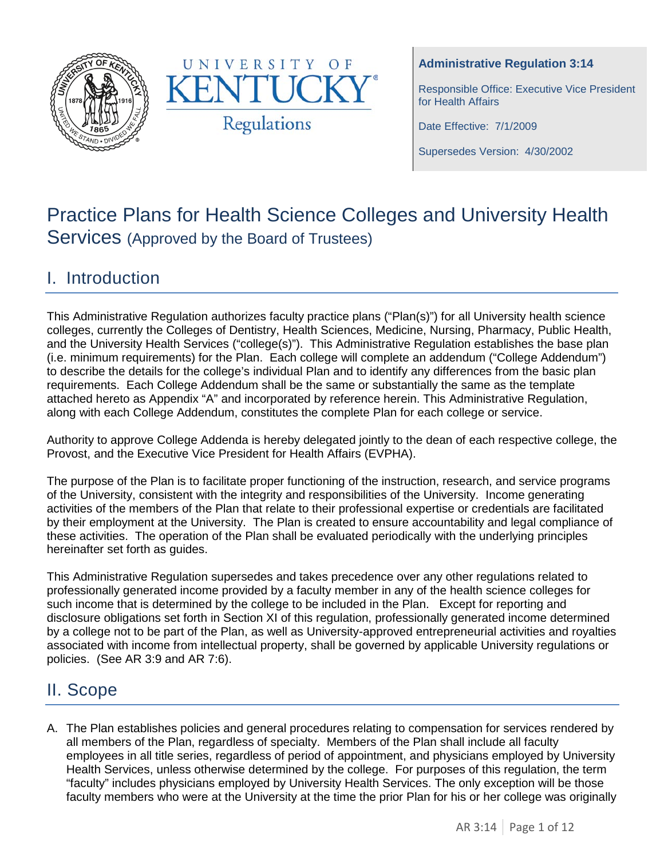



## **Administrative Regulation 3:14**

Responsible Office: Executive Vice President for Health Affairs

Date Effective: 7/1/2009

Supersedes Version: 4/30/2002

# Practice Plans for Health Science Colleges and University Health Services (Approved by the Board of Trustees)

# I. Introduction

This Administrative Regulation authorizes faculty practice plans ("Plan(s)") for all University health science colleges, currently the Colleges of Dentistry, Health Sciences, Medicine, Nursing, Pharmacy, Public Health, and the University Health Services ("college(s)"). This Administrative Regulation establishes the base plan (i.e. minimum requirements) for the Plan. Each college will complete an addendum ("College Addendum") to describe the details for the college's individual Plan and to identify any differences from the basic plan requirements. Each College Addendum shall be the same or substantially the same as the template attached hereto as Appendix "A" and incorporated by reference herein. This Administrative Regulation, along with each College Addendum, constitutes the complete Plan for each college or service.

Authority to approve College Addenda is hereby delegated jointly to the dean of each respective college, the Provost, and the Executive Vice President for Health Affairs (EVPHA).

The purpose of the Plan is to facilitate proper functioning of the instruction, research, and service programs of the University, consistent with the integrity and responsibilities of the University. Income generating activities of the members of the Plan that relate to their professional expertise or credentials are facilitated by their employment at the University. The Plan is created to ensure accountability and legal compliance of these activities. The operation of the Plan shall be evaluated periodically with the underlying principles hereinafter set forth as guides.

This Administrative Regulation supersedes and takes precedence over any other regulations related to professionally generated income provided by a faculty member in any of the health science colleges for such income that is determined by the college to be included in the Plan. Except for reporting and disclosure obligations set forth in Section XI of this regulation, professionally generated income determined by a college not to be part of the Plan, as well as University-approved entrepreneurial activities and royalties associated with income from intellectual property, shall be governed by applicable University regulations or policies. (See AR 3:9 and AR 7:6).

# II. Scope

A. The Plan establishes policies and general procedures relating to compensation for services rendered by all members of the Plan, regardless of specialty. Members of the Plan shall include all faculty employees in all title series, regardless of period of appointment, and physicians employed by University Health Services, unless otherwise determined by the college. For purposes of this regulation, the term "faculty" includes physicians employed by University Health Services. The only exception will be those faculty members who were at the University at the time the prior Plan for his or her college was originally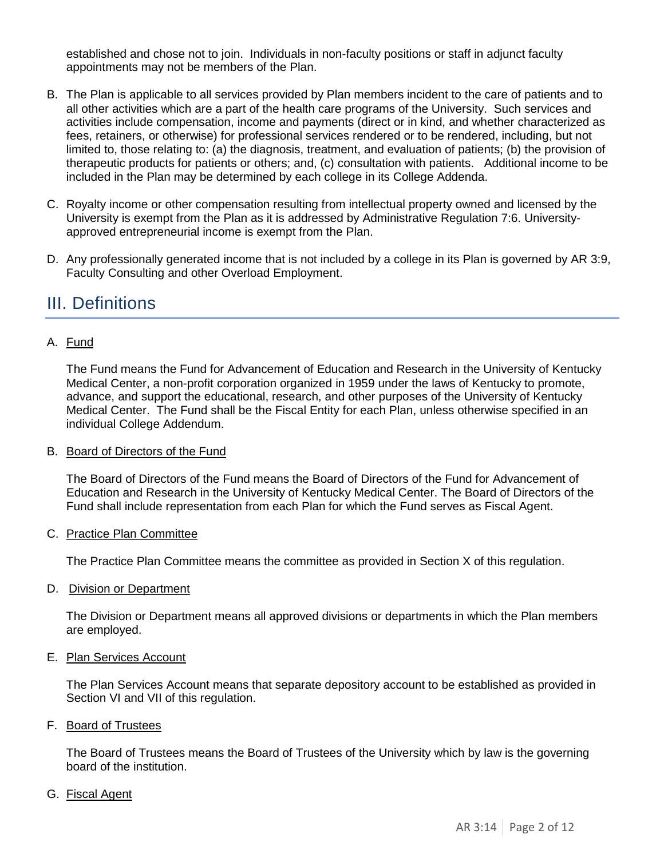established and chose not to join. Individuals in non-faculty positions or staff in adjunct faculty appointments may not be members of the Plan.

- B. The Plan is applicable to all services provided by Plan members incident to the care of patients and to all other activities which are a part of the health care programs of the University. Such services and activities include compensation, income and payments (direct or in kind, and whether characterized as fees, retainers, or otherwise) for professional services rendered or to be rendered, including, but not limited to, those relating to: (a) the diagnosis, treatment, and evaluation of patients; (b) the provision of therapeutic products for patients or others; and, (c) consultation with patients. Additional income to be included in the Plan may be determined by each college in its College Addenda.
- C. Royalty income or other compensation resulting from intellectual property owned and licensed by the University is exempt from the Plan as it is addressed by Administrative Regulation 7:6. Universityapproved entrepreneurial income is exempt from the Plan.
- D. Any professionally generated income that is not included by a college in its Plan is governed by AR 3:9, Faculty Consulting and other Overload Employment.

# III. Definitions

## A. Fund

The Fund means the Fund for Advancement of Education and Research in the University of Kentucky Medical Center, a non-profit corporation organized in 1959 under the laws of Kentucky to promote, advance, and support the educational, research, and other purposes of the University of Kentucky Medical Center. The Fund shall be the Fiscal Entity for each Plan, unless otherwise specified in an individual College Addendum.

### B. Board of Directors of the Fund

The Board of Directors of the Fund means the Board of Directors of the Fund for Advancement of Education and Research in the University of Kentucky Medical Center. The Board of Directors of the Fund shall include representation from each Plan for which the Fund serves as Fiscal Agent.

### C. Practice Plan Committee

The Practice Plan Committee means the committee as provided in Section X of this regulation.

D. Division or Department

The Division or Department means all approved divisions or departments in which the Plan members are employed.

### E. Plan Services Account

The Plan Services Account means that separate depository account to be established as provided in Section VI and VII of this regulation.

### F. Board of Trustees

The Board of Trustees means the Board of Trustees of the University which by law is the governing board of the institution.

### G. Fiscal Agent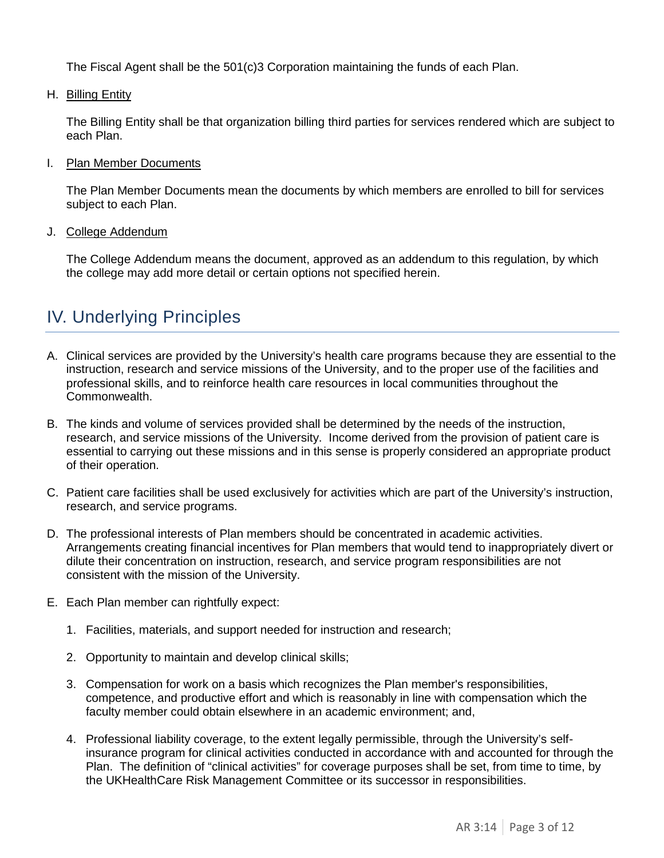The Fiscal Agent shall be the 501(c)3 Corporation maintaining the funds of each Plan.

H. Billing Entity

The Billing Entity shall be that organization billing third parties for services rendered which are subject to each Plan.

### I. Plan Member Documents

The Plan Member Documents mean the documents by which members are enrolled to bill for services subject to each Plan.

J. College Addendum

The College Addendum means the document, approved as an addendum to this regulation, by which the college may add more detail or certain options not specified herein.

# IV. Underlying Principles

- A. Clinical services are provided by the University's health care programs because they are essential to the instruction, research and service missions of the University, and to the proper use of the facilities and professional skills, and to reinforce health care resources in local communities throughout the Commonwealth.
- B. The kinds and volume of services provided shall be determined by the needs of the instruction, research, and service missions of the University. Income derived from the provision of patient care is essential to carrying out these missions and in this sense is properly considered an appropriate product of their operation.
- C. Patient care facilities shall be used exclusively for activities which are part of the University's instruction, research, and service programs.
- D. The professional interests of Plan members should be concentrated in academic activities. Arrangements creating financial incentives for Plan members that would tend to inappropriately divert or dilute their concentration on instruction, research, and service program responsibilities are not consistent with the mission of the University.
- E. Each Plan member can rightfully expect:
	- 1. Facilities, materials, and support needed for instruction and research;
	- 2. Opportunity to maintain and develop clinical skills;
	- 3. Compensation for work on a basis which recognizes the Plan member's responsibilities, competence, and productive effort and which is reasonably in line with compensation which the faculty member could obtain elsewhere in an academic environment; and,
	- 4. Professional liability coverage, to the extent legally permissible, through the University's selfinsurance program for clinical activities conducted in accordance with and accounted for through the Plan. The definition of "clinical activities" for coverage purposes shall be set, from time to time, by the UKHealthCare Risk Management Committee or its successor in responsibilities.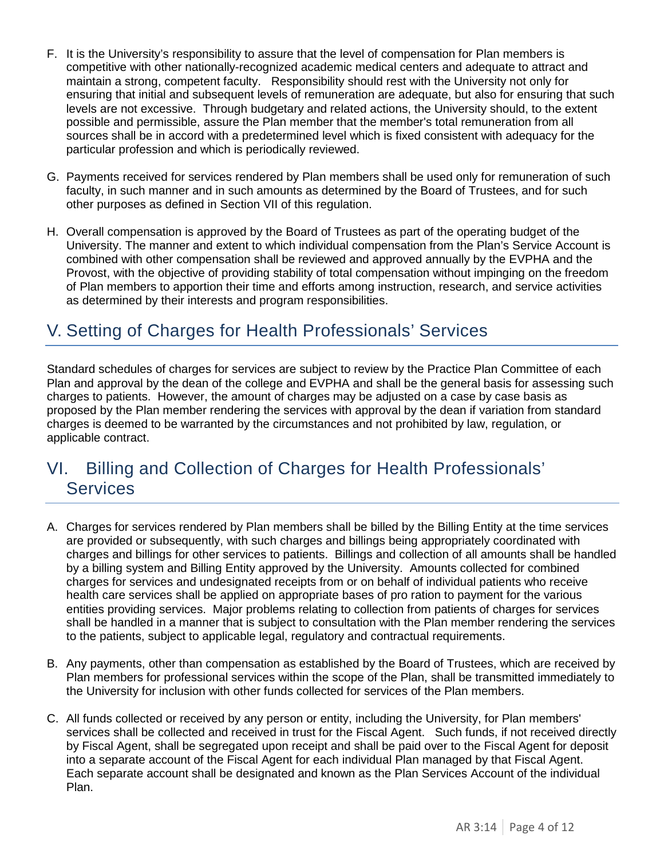- F. It is the University's responsibility to assure that the level of compensation for Plan members is competitive with other nationally-recognized academic medical centers and adequate to attract and maintain a strong, competent faculty. Responsibility should rest with the University not only for ensuring that initial and subsequent levels of remuneration are adequate, but also for ensuring that such levels are not excessive. Through budgetary and related actions, the University should, to the extent possible and permissible, assure the Plan member that the member's total remuneration from all sources shall be in accord with a predetermined level which is fixed consistent with adequacy for the particular profession and which is periodically reviewed.
- G. Payments received for services rendered by Plan members shall be used only for remuneration of such faculty, in such manner and in such amounts as determined by the Board of Trustees, and for such other purposes as defined in Section VII of this regulation.
- H. Overall compensation is approved by the Board of Trustees as part of the operating budget of the University. The manner and extent to which individual compensation from the Plan's Service Account is combined with other compensation shall be reviewed and approved annually by the EVPHA and the Provost, with the objective of providing stability of total compensation without impinging on the freedom of Plan members to apportion their time and efforts among instruction, research, and service activities as determined by their interests and program responsibilities.

# V. Setting of Charges for Health Professionals' Services

Standard schedules of charges for services are subject to review by the Practice Plan Committee of each Plan and approval by the dean of the college and EVPHA and shall be the general basis for assessing such charges to patients. However, the amount of charges may be adjusted on a case by case basis as proposed by the Plan member rendering the services with approval by the dean if variation from standard charges is deemed to be warranted by the circumstances and not prohibited by law, regulation, or applicable contract.

# VI. Billing and Collection of Charges for Health Professionals' Services

- A. Charges for services rendered by Plan members shall be billed by the Billing Entity at the time services are provided or subsequently, with such charges and billings being appropriately coordinated with charges and billings for other services to patients. Billings and collection of all amounts shall be handled by a billing system and Billing Entity approved by the University. Amounts collected for combined charges for services and undesignated receipts from or on behalf of individual patients who receive health care services shall be applied on appropriate bases of pro ration to payment for the various entities providing services. Major problems relating to collection from patients of charges for services shall be handled in a manner that is subject to consultation with the Plan member rendering the services to the patients, subject to applicable legal, regulatory and contractual requirements.
- B. Any payments, other than compensation as established by the Board of Trustees, which are received by Plan members for professional services within the scope of the Plan, shall be transmitted immediately to the University for inclusion with other funds collected for services of the Plan members.
- C. All funds collected or received by any person or entity, including the University, for Plan members' services shall be collected and received in trust for the Fiscal Agent. Such funds, if not received directly by Fiscal Agent, shall be segregated upon receipt and shall be paid over to the Fiscal Agent for deposit into a separate account of the Fiscal Agent for each individual Plan managed by that Fiscal Agent. Each separate account shall be designated and known as the Plan Services Account of the individual Plan.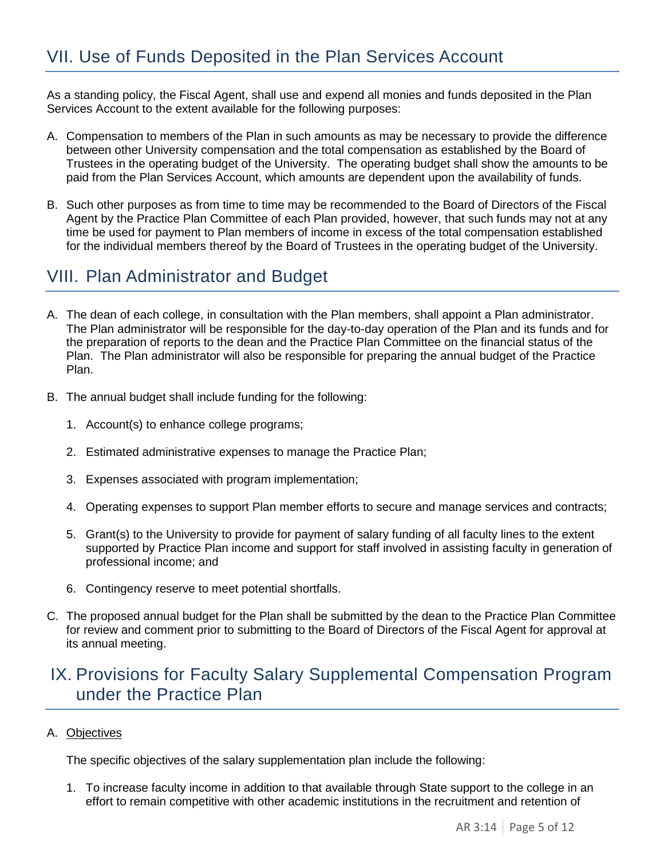As a standing policy, the Fiscal Agent, shall use and expend all monies and funds deposited in the Plan Services Account to the extent available for the following purposes:

- A. Compensation to members of the Plan in such amounts as may be necessary to provide the difference between other University compensation and the total compensation as established by the Board of Trustees in the operating budget of the University. The operating budget shall show the amounts to be paid from the Plan Services Account, which amounts are dependent upon the availability of funds.
- B. Such other purposes as from time to time may be recommended to the Board of Directors of the Fiscal Agent by the Practice Plan Committee of each Plan provided, however, that such funds may not at any time be used for payment to Plan members of income in excess of the total compensation established for the individual members thereof by the Board of Trustees in the operating budget of the University.

# VIII. Plan Administrator and Budget

- A. The dean of each college, in consultation with the Plan members, shall appoint a Plan administrator. The Plan administrator will be responsible for the day-to-day operation of the Plan and its funds and for the preparation of reports to the dean and the Practice Plan Committee on the financial status of the Plan. The Plan administrator will also be responsible for preparing the annual budget of the Practice Plan.
- B. The annual budget shall include funding for the following:
	- 1. Account(s) to enhance college programs;
	- 2. Estimated administrative expenses to manage the Practice Plan;
	- 3. Expenses associated with program implementation;
	- 4. Operating expenses to support Plan member efforts to secure and manage services and contracts;
	- 5. Grant(s) to the University to provide for payment of salary funding of all faculty lines to the extent supported by Practice Plan income and support for staff involved in assisting faculty in generation of professional income; and
	- 6. Contingency reserve to meet potential shortfalls.
- C. The proposed annual budget for the Plan shall be submitted by the dean to the Practice Plan Committee for review and comment prior to submitting to the Board of Directors of the Fiscal Agent for approval at its annual meeting.

# IX. Provisions for Faculty Salary Supplemental Compensation Program under the Practice Plan

## A. Objectives

The specific objectives of the salary supplementation plan include the following:

1. To increase faculty income in addition to that available through State support to the college in an effort to remain competitive with other academic institutions in the recruitment and retention of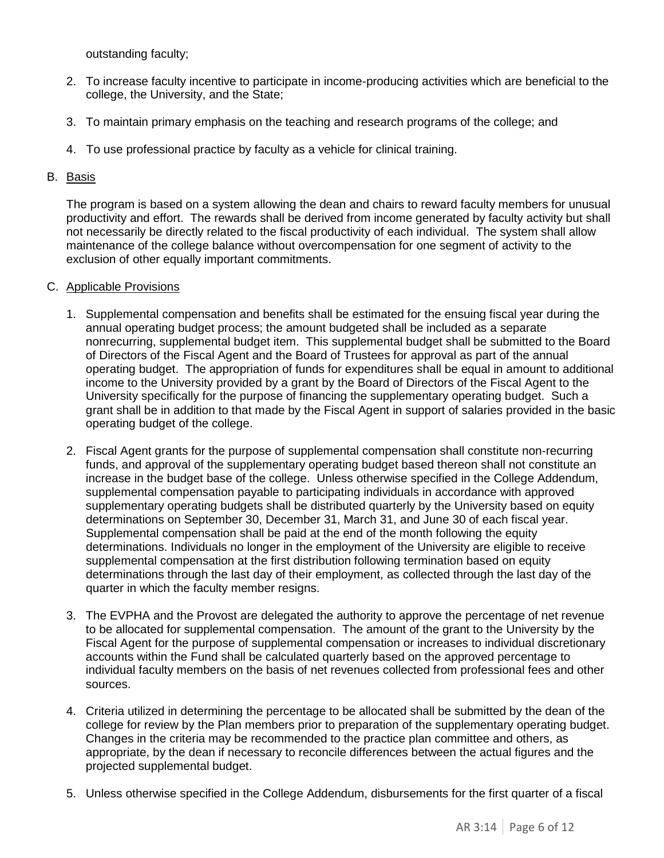outstanding faculty;

- 2. To increase faculty incentive to participate in income-producing activities which are beneficial to the college, the University, and the State;
- 3. To maintain primary emphasis on the teaching and research programs of the college; and
- 4. To use professional practice by faculty as a vehicle for clinical training.

## B. Basis

The program is based on a system allowing the dean and chairs to reward faculty members for unusual productivity and effort. The rewards shall be derived from income generated by faculty activity but shall not necessarily be directly related to the fiscal productivity of each individual. The system shall allow maintenance of the college balance without overcompensation for one segment of activity to the exclusion of other equally important commitments.

### C. Applicable Provisions

- 1. Supplemental compensation and benefits shall be estimated for the ensuing fiscal year during the annual operating budget process; the amount budgeted shall be included as a separate nonrecurring, supplemental budget item. This supplemental budget shall be submitted to the Board of Directors of the Fiscal Agent and the Board of Trustees for approval as part of the annual operating budget. The appropriation of funds for expenditures shall be equal in amount to additional income to the University provided by a grant by the Board of Directors of the Fiscal Agent to the University specifically for the purpose of financing the supplementary operating budget. Such a grant shall be in addition to that made by the Fiscal Agent in support of salaries provided in the basic operating budget of the college.
- 2. Fiscal Agent grants for the purpose of supplemental compensation shall constitute non-recurring funds, and approval of the supplementary operating budget based thereon shall not constitute an increase in the budget base of the college. Unless otherwise specified in the College Addendum, supplemental compensation payable to participating individuals in accordance with approved supplementary operating budgets shall be distributed quarterly by the University based on equity determinations on September 30, December 31, March 31, and June 30 of each fiscal year. Supplemental compensation shall be paid at the end of the month following the equity determinations. Individuals no longer in the employment of the University are eligible to receive supplemental compensation at the first distribution following termination based on equity determinations through the last day of their employment, as collected through the last day of the quarter in which the faculty member resigns.
- 3. The EVPHA and the Provost are delegated the authority to approve the percentage of net revenue to be allocated for supplemental compensation. The amount of the grant to the University by the Fiscal Agent for the purpose of supplemental compensation or increases to individual discretionary accounts within the Fund shall be calculated quarterly based on the approved percentage to individual faculty members on the basis of net revenues collected from professional fees and other sources.
- 4. Criteria utilized in determining the percentage to be allocated shall be submitted by the dean of the college for review by the Plan members prior to preparation of the supplementary operating budget. Changes in the criteria may be recommended to the practice plan committee and others, as appropriate, by the dean if necessary to reconcile differences between the actual figures and the projected supplemental budget.
- 5. Unless otherwise specified in the College Addendum, disbursements for the first quarter of a fiscal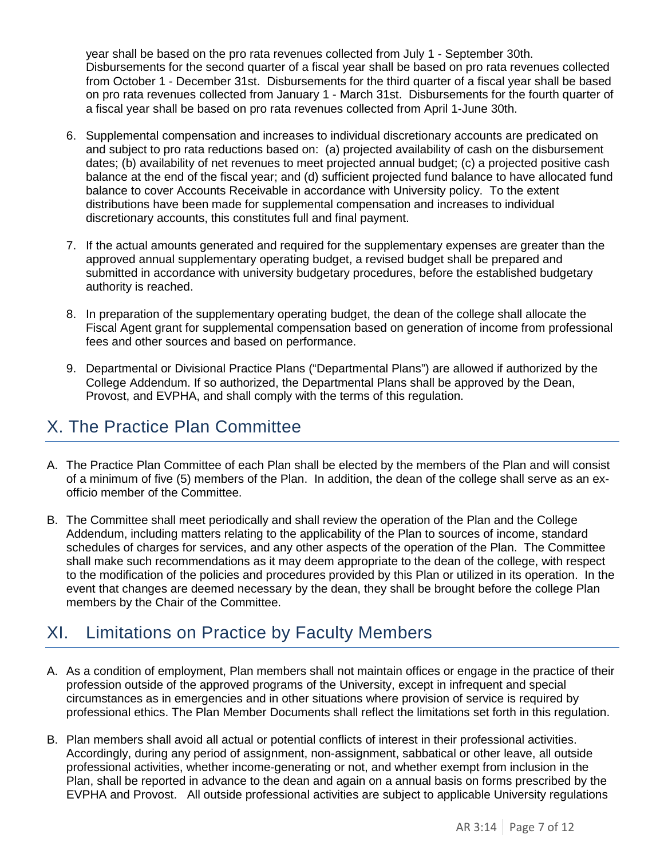year shall be based on the pro rata revenues collected from July 1 - September 30th. Disbursements for the second quarter of a fiscal year shall be based on pro rata revenues collected from October 1 - December 31st. Disbursements for the third quarter of a fiscal year shall be based on pro rata revenues collected from January 1 - March 31st. Disbursements for the fourth quarter of a fiscal year shall be based on pro rata revenues collected from April 1-June 30th.

- 6. Supplemental compensation and increases to individual discretionary accounts are predicated on and subject to pro rata reductions based on: (a) projected availability of cash on the disbursement dates; (b) availability of net revenues to meet projected annual budget; (c) a projected positive cash balance at the end of the fiscal year; and (d) sufficient projected fund balance to have allocated fund balance to cover Accounts Receivable in accordance with University policy. To the extent distributions have been made for supplemental compensation and increases to individual discretionary accounts, this constitutes full and final payment.
- 7. If the actual amounts generated and required for the supplementary expenses are greater than the approved annual supplementary operating budget, a revised budget shall be prepared and submitted in accordance with university budgetary procedures, before the established budgetary authority is reached.
- 8. In preparation of the supplementary operating budget, the dean of the college shall allocate the Fiscal Agent grant for supplemental compensation based on generation of income from professional fees and other sources and based on performance.
- 9. Departmental or Divisional Practice Plans ("Departmental Plans") are allowed if authorized by the College Addendum. If so authorized, the Departmental Plans shall be approved by the Dean, Provost, and EVPHA, and shall comply with the terms of this regulation.

# X. The Practice Plan Committee

- A. The Practice Plan Committee of each Plan shall be elected by the members of the Plan and will consist of a minimum of five (5) members of the Plan. In addition, the dean of the college shall serve as an exofficio member of the Committee.
- B. The Committee shall meet periodically and shall review the operation of the Plan and the College Addendum, including matters relating to the applicability of the Plan to sources of income, standard schedules of charges for services, and any other aspects of the operation of the Plan. The Committee shall make such recommendations as it may deem appropriate to the dean of the college, with respect to the modification of the policies and procedures provided by this Plan or utilized in its operation. In the event that changes are deemed necessary by the dean, they shall be brought before the college Plan members by the Chair of the Committee.

# XI. Limitations on Practice by Faculty Members

- A. As a condition of employment, Plan members shall not maintain offices or engage in the practice of their profession outside of the approved programs of the University, except in infrequent and special circumstances as in emergencies and in other situations where provision of service is required by professional ethics. The Plan Member Documents shall reflect the limitations set forth in this regulation.
- B. Plan members shall avoid all actual or potential conflicts of interest in their professional activities. Accordingly, during any period of assignment, non-assignment, sabbatical or other leave, all outside professional activities, whether income-generating or not, and whether exempt from inclusion in the Plan, shall be reported in advance to the dean and again on a annual basis on forms prescribed by the EVPHA and Provost. All outside professional activities are subject to applicable University regulations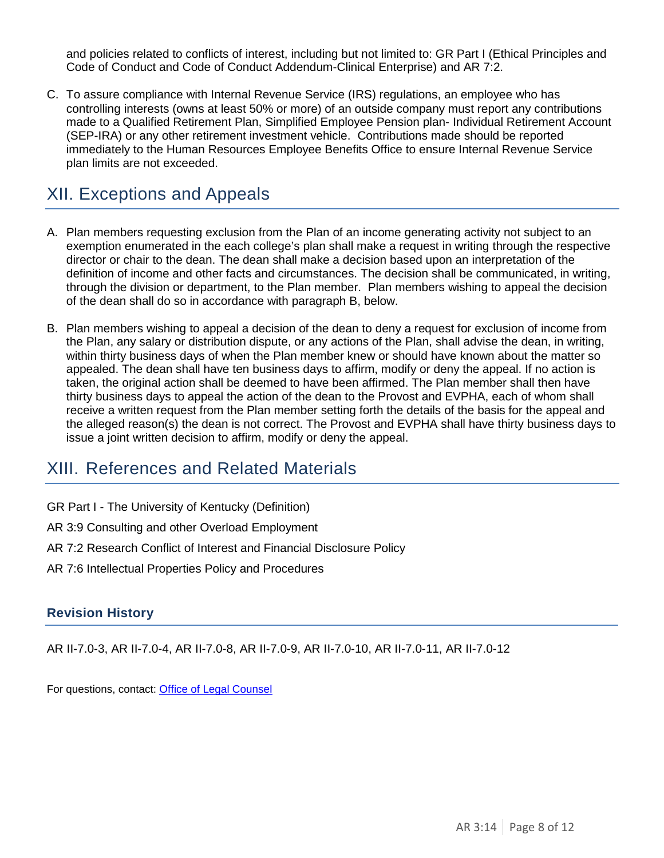and policies related to conflicts of interest, including but not limited to: GR Part I (Ethical Principles and Code of Conduct and Code of Conduct Addendum-Clinical Enterprise) and AR 7:2.

C. To assure compliance with Internal Revenue Service (IRS) regulations, an employee who has controlling interests (owns at least 50% or more) of an outside company must report any contributions made to a Qualified Retirement Plan, Simplified Employee Pension plan- Individual Retirement Account (SEP-IRA) or any other retirement investment vehicle. Contributions made should be reported immediately to the Human Resources Employee Benefits Office to ensure Internal Revenue Service plan limits are not exceeded.

# XII. Exceptions and Appeals

- A. Plan members requesting exclusion from the Plan of an income generating activity not subject to an exemption enumerated in the each college's plan shall make a request in writing through the respective director or chair to the dean. The dean shall make a decision based upon an interpretation of the definition of income and other facts and circumstances. The decision shall be communicated, in writing, through the division or department, to the Plan member. Plan members wishing to appeal the decision of the dean shall do so in accordance with paragraph B, below.
- B. Plan members wishing to appeal a decision of the dean to deny a request for exclusion of income from the Plan, any salary or distribution dispute, or any actions of the Plan, shall advise the dean, in writing, within thirty business days of when the Plan member knew or should have known about the matter so appealed. The dean shall have ten business days to affirm, modify or deny the appeal. If no action is taken, the original action shall be deemed to have been affirmed. The Plan member shall then have thirty business days to appeal the action of the dean to the Provost and EVPHA, each of whom shall receive a written request from the Plan member setting forth the details of the basis for the appeal and the alleged reason(s) the dean is not correct. The Provost and EVPHA shall have thirty business days to issue a joint written decision to affirm, modify or deny the appeal.

# XIII. References and Related Materials

GR Part I - The University of Kentucky (Definition)

- AR 3:9 Consulting and other Overload Employment
- AR 7:2 Research Conflict of Interest and Financial Disclosure Policy
- AR 7:6 Intellectual Properties Policy and Procedures

## **Revision History**

AR II-7.0-3, AR II-7.0-4, AR II-7.0-8, AR II-7.0-9, AR II-7.0-10, AR II-7.0-11, AR II-7.0-12

For questions, contact: [Office of Legal Counsel](mailto:LegalRegs@uky.edu)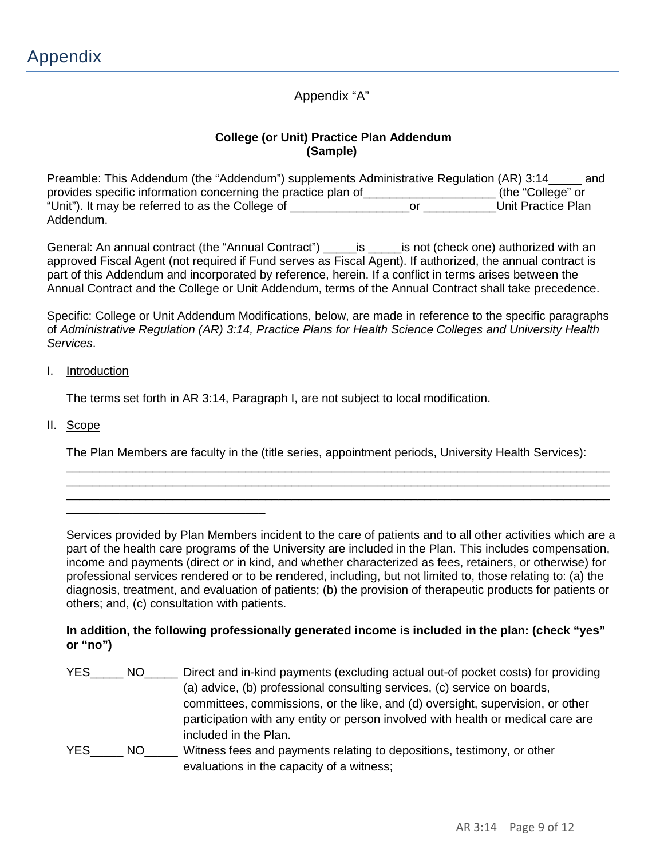Appendix "A"

## **College (or Unit) Practice Plan Addendum (Sample)**

Preamble: This Addendum (the "Addendum") supplements Administrative Regulation (AR) 3:14\_\_\_\_\_ and provides specific information concerning the practice plan of\_\_\_\_\_\_\_\_\_\_\_\_\_\_\_\_\_\_\_\_ (the "College" or "Unit"). It may be referred to as the College of \_\_\_\_\_\_\_\_\_\_\_\_\_\_\_\_\_\_or \_\_\_\_\_\_\_\_\_\_\_Unit Practice Plan Addendum.

General: An annual contract (the "Annual Contract") \_\_\_\_\_\_\_ is \_\_\_\_\_\_ is not (check one) authorized with an approved Fiscal Agent (not required if Fund serves as Fiscal Agent). If authorized, the annual contract is part of this Addendum and incorporated by reference, herein. If a conflict in terms arises between the Annual Contract and the College or Unit Addendum, terms of the Annual Contract shall take precedence.

Specific: College or Unit Addendum Modifications, below, are made in reference to the specific paragraphs of *Administrative Regulation (AR) 3:14, Practice Plans for Health Science Colleges and University Health Services*.

### I. Introduction

\_\_\_\_\_\_\_\_\_\_\_\_\_\_\_\_\_\_\_\_\_\_\_\_\_\_\_\_\_\_

The terms set forth in AR 3:14, Paragraph I, are not subject to local modification.

II. Scope

The Plan Members are faculty in the (title series, appointment periods, University Health Services):

\_\_\_\_\_\_\_\_\_\_\_\_\_\_\_\_\_\_\_\_\_\_\_\_\_\_\_\_\_\_\_\_\_\_\_\_\_\_\_\_\_\_\_\_\_\_\_\_\_\_\_\_\_\_\_\_\_\_\_\_\_\_\_\_\_\_\_\_\_\_\_\_\_\_\_\_\_\_\_\_\_\_ \_\_\_\_\_\_\_\_\_\_\_\_\_\_\_\_\_\_\_\_\_\_\_\_\_\_\_\_\_\_\_\_\_\_\_\_\_\_\_\_\_\_\_\_\_\_\_\_\_\_\_\_\_\_\_\_\_\_\_\_\_\_\_\_\_\_\_\_\_\_\_\_\_\_\_\_\_\_\_\_\_\_ \_\_\_\_\_\_\_\_\_\_\_\_\_\_\_\_\_\_\_\_\_\_\_\_\_\_\_\_\_\_\_\_\_\_\_\_\_\_\_\_\_\_\_\_\_\_\_\_\_\_\_\_\_\_\_\_\_\_\_\_\_\_\_\_\_\_\_\_\_\_\_\_\_\_\_\_\_\_\_\_\_\_

Services provided by Plan Members incident to the care of patients and to all other activities which are a part of the health care programs of the University are included in the Plan. This includes compensation, income and payments (direct or in kind, and whether characterized as fees, retainers, or otherwise) for professional services rendered or to be rendered, including, but not limited to, those relating to: (a) the diagnosis, treatment, and evaluation of patients; (b) the provision of therapeutic products for patients or others; and, (c) consultation with patients.

## **In addition, the following professionally generated income is included in the plan: (check "yes" or "no")**

| <b>YES</b> | NO. | Direct and in-kind payments (excluding actual out-of pocket costs) for providing<br>(a) advice, (b) professional consulting services, (c) service on boards,                                |
|------------|-----|---------------------------------------------------------------------------------------------------------------------------------------------------------------------------------------------|
|            |     | committees, commissions, or the like, and (d) oversight, supervision, or other<br>participation with any entity or person involved with health or medical care are<br>included in the Plan. |
| YES.       | NO. | Witness fees and payments relating to depositions, testimony, or other<br>evaluations in the capacity of a witness;                                                                         |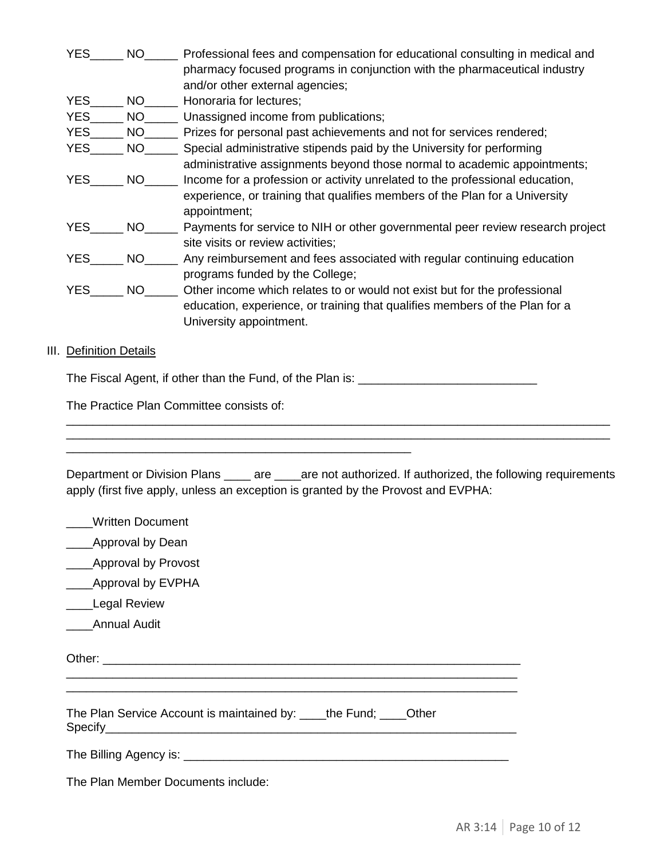| <b>YES</b> | <b>NO</b> | Professional fees and compensation for educational consulting in medical and<br>pharmacy focused programs in conjunction with the pharmaceutical industry<br>and/or other external agencies; |
|------------|-----------|----------------------------------------------------------------------------------------------------------------------------------------------------------------------------------------------|
| <b>YES</b> | NO.       | Honoraria for lectures;                                                                                                                                                                      |
| <b>YES</b> | <b>NO</b> | Unassigned income from publications;                                                                                                                                                         |
| <b>YES</b> | NO.       | Prizes for personal past achievements and not for services rendered;                                                                                                                         |
| <b>YES</b> | NO.       | Special administrative stipends paid by the University for performing                                                                                                                        |
|            |           | administrative assignments beyond those normal to academic appointments;                                                                                                                     |
| <b>YES</b> | <b>NO</b> | Income for a profession or activity unrelated to the professional education,                                                                                                                 |
|            |           | experience, or training that qualifies members of the Plan for a University<br>appointment;                                                                                                  |
| YES.       | <b>NO</b> | Payments for service to NIH or other governmental peer review research project                                                                                                               |
|            |           | site visits or review activities;                                                                                                                                                            |
| <b>YES</b> | NO.       | Any reimbursement and fees associated with regular continuing education                                                                                                                      |
|            |           | programs funded by the College;                                                                                                                                                              |
| <b>YES</b> | NO.       | Other income which relates to or would not exist but for the professional                                                                                                                    |
|            |           | education, experience, or training that qualifies members of the Plan for a                                                                                                                  |
|            |           | University appointment.                                                                                                                                                                      |
|            |           |                                                                                                                                                                                              |

### **III.** Definition Details

The Fiscal Agent, if other than the Fund, of the Plan is: \_\_\_\_\_\_\_\_\_\_\_\_\_\_\_\_\_\_\_\_\_\_\_

The Practice Plan Committee consists of:

| Department or Division Plans ______ are _____are not authorized. If authorized, the following requirements<br>apply (first five apply, unless an exception is granted by the Provost and EVPHA: |  |  |
|-------------------------------------------------------------------------------------------------------------------------------------------------------------------------------------------------|--|--|
| <b>Written Document</b>                                                                                                                                                                         |  |  |
| Approval by Dean                                                                                                                                                                                |  |  |
| <b>Approval by Provost</b>                                                                                                                                                                      |  |  |
| Approval by EVPHA                                                                                                                                                                               |  |  |
| <b>Legal Review</b>                                                                                                                                                                             |  |  |

\_\_\_\_\_\_\_\_\_\_\_\_\_\_\_\_\_\_\_\_\_\_\_\_\_\_\_\_\_\_\_\_\_\_\_\_\_\_\_\_\_\_\_\_\_\_\_\_\_\_\_\_\_\_\_\_\_\_\_\_\_\_\_\_\_\_\_\_\_\_\_\_\_\_\_\_\_\_\_\_\_\_ \_\_\_\_\_\_\_\_\_\_\_\_\_\_\_\_\_\_\_\_\_\_\_\_\_\_\_\_\_\_\_\_\_\_\_\_\_\_\_\_\_\_\_\_\_\_\_\_\_\_\_\_\_\_\_\_\_\_\_\_\_\_\_\_\_\_\_\_\_\_\_\_\_\_\_\_\_\_\_\_\_\_

\_\_\_\_Annual Audit

Other: \_\_\_\_\_\_\_\_\_\_\_\_\_\_\_\_\_\_\_\_\_\_\_\_\_\_\_\_\_\_\_\_\_\_\_\_\_\_\_\_\_\_\_\_\_\_\_\_\_\_\_\_\_\_\_\_\_\_\_\_\_\_\_

The Plan Service Account is maintained by: \_\_\_\_the Fund; \_\_\_\_Other Specify\_\_\_\_\_\_\_\_\_\_\_\_\_\_\_\_\_\_\_\_\_\_\_\_\_\_\_\_\_\_\_\_\_\_\_\_\_\_\_\_\_\_\_\_\_\_\_\_\_\_\_\_\_\_\_\_\_\_\_\_\_\_

\_\_\_\_\_\_\_\_\_\_\_\_\_\_\_\_\_\_\_\_\_\_\_\_\_\_\_\_\_\_\_\_\_\_\_\_\_\_\_\_\_\_\_\_\_\_\_\_\_\_\_\_\_\_\_\_\_\_\_\_\_\_\_\_\_\_\_\_

\_\_\_\_\_\_\_\_\_\_\_\_\_\_\_\_\_\_\_\_\_\_\_\_\_\_\_\_\_\_\_\_\_\_\_\_\_\_\_\_\_\_\_\_\_\_\_\_\_\_\_\_

The Billing Agency is: \_\_\_\_\_\_\_\_\_\_\_\_\_\_\_\_\_\_\_\_\_\_\_\_\_\_\_\_\_\_\_\_\_\_\_\_\_\_\_\_\_\_\_\_\_\_\_\_\_

The Plan Member Documents include: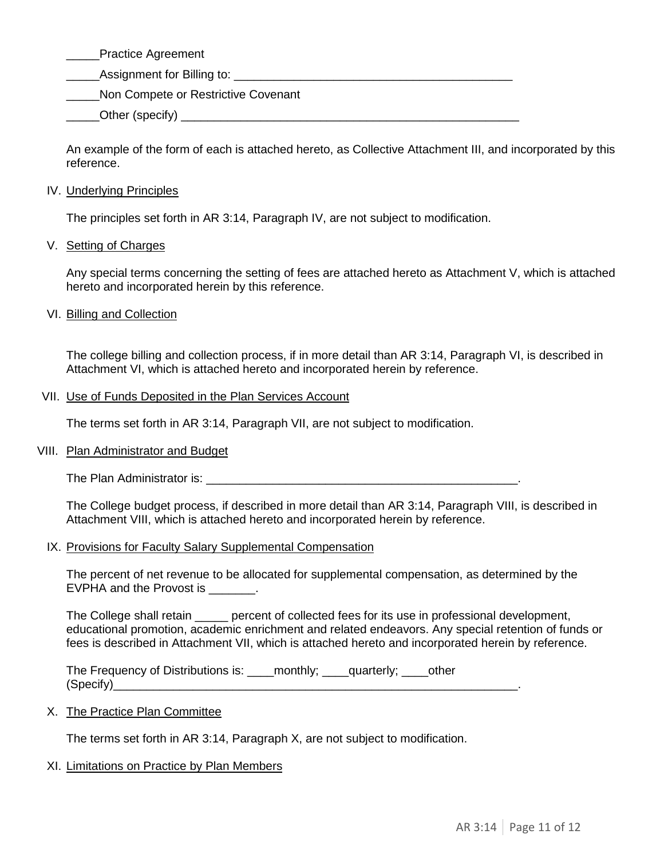\_\_\_\_\_Practice Agreement

**Example 1** Assignment for Billing to:  $\frac{1}{2}$ 

**Non Compete or Restrictive Covenant** 

 $\bigcirc$  Other (specify)  $\bigcirc$ 

An example of the form of each is attached hereto, as Collective Attachment III, and incorporated by this reference.

## IV. Underlying Principles

The principles set forth in AR 3:14, Paragraph IV, are not subject to modification.

## V. Setting of Charges

Any special terms concerning the setting of fees are attached hereto as Attachment V, which is attached hereto and incorporated herein by this reference.

## VI. Billing and Collection

The college billing and collection process, if in more detail than AR 3:14, Paragraph VI, is described in Attachment VI, which is attached hereto and incorporated herein by reference.

### VII. Use of Funds Deposited in the Plan Services Account

The terms set forth in AR 3:14, Paragraph VII, are not subject to modification.

## VIII. Plan Administrator and Budget

The Plan Administrator is: **with a strategies of the Plan Administrator** 

The College budget process, if described in more detail than AR 3:14, Paragraph VIII, is described in Attachment VIII, which is attached hereto and incorporated herein by reference.

### IX. Provisions for Faculty Salary Supplemental Compensation

The percent of net revenue to be allocated for supplemental compensation, as determined by the EVPHA and the Provost is  $\qquad \qquad$ .

The College shall retain \_\_\_\_\_ percent of collected fees for its use in professional development, educational promotion, academic enrichment and related endeavors. Any special retention of funds or fees is described in Attachment VII, which is attached hereto and incorporated herein by reference.

The Frequency of Distributions is: \_\_\_\_monthly; \_\_\_\_quarterly; \_\_\_\_other  $(Specify)$ 

### X. The Practice Plan Committee

The terms set forth in AR 3:14, Paragraph X, are not subject to modification.

## XI. Limitations on Practice by Plan Members